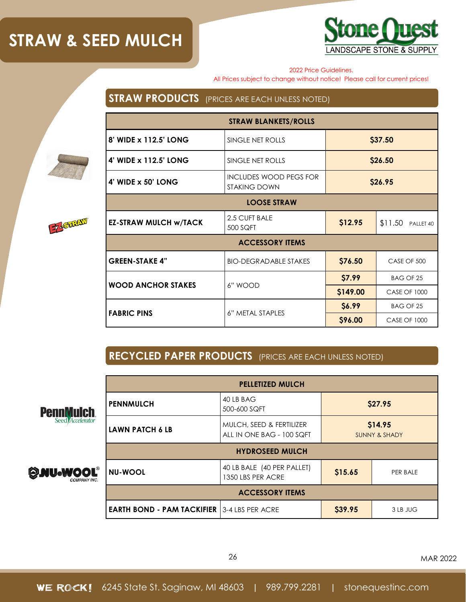## **STRAW & SEED MULCH**



2022 Price Guidelines.

All Prices subject to change without notice! Please call for current prices!

### **STRAW PRODUCTS** (PRICES ARE EACH UNLESS NOTED)



### **RECYCLED PAPER PRODUCTS** (PRICES ARE EACH UNLESS NOTED)



F-Sukky



| FEHELLELLWWLST                                       |                                                       |                                     |          |
|------------------------------------------------------|-------------------------------------------------------|-------------------------------------|----------|
| <b>PENNMULCH</b>                                     | 40 LB BAG<br>500-600 SQFT                             | \$27.95                             |          |
| <b>LAWN PATCH 6 LB</b>                               | MULCH, SEED & FERTILIZER<br>ALL IN ONE BAG - 100 SQFT | \$14.95<br><b>SUNNY &amp; SHADY</b> |          |
| <b>HYDROSEED MULCH</b>                               |                                                       |                                     |          |
| <b>NU-WOOL</b>                                       | 40 LB BALE (40 PER PALLET)<br>1350 LBS PER ACRE       | \$15.65                             | PER BALE |
| <b>ACCESSORY ITEMS</b>                               |                                                       |                                     |          |
| <b>EARTH BOND - PAM TACKIFIER   3-4 LBS PER ACRE</b> |                                                       | \$39.95                             | 3 LB JUG |

**PELLETIZED MULCH**

26 MAR 2022